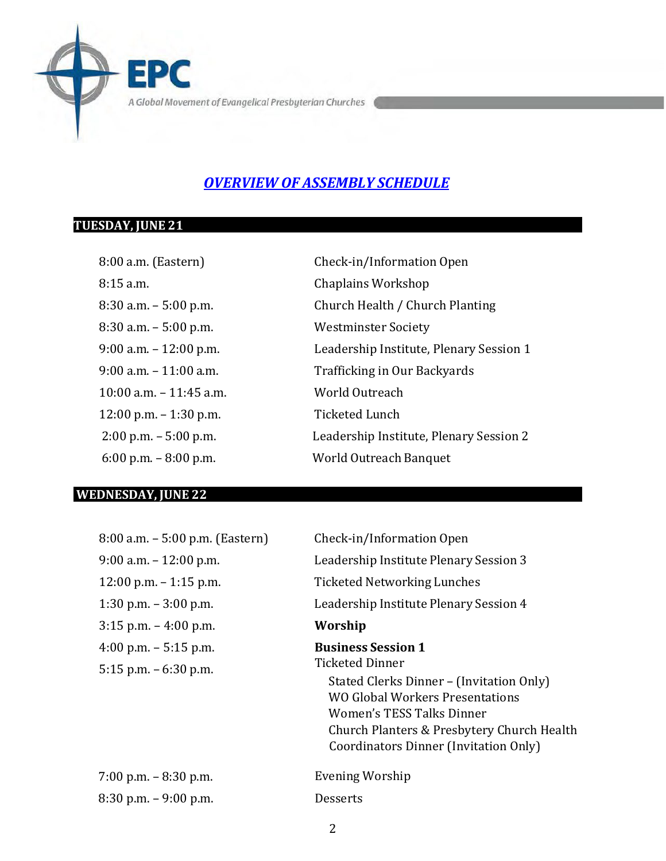A Global Movement of Evangelical Presbyterian Churches

### *OVERVIEW OF ASSEMBLY SCHEDULE*

### **TUESDAY, JUNE 21**

 $\blacksquare$  $\blacksquare$ 

8:15 a.m. Chaplains Workshop 8:30 a.m. – 5:00 p.m. Westminster Society 10:00 a.m. – 11:45 a.m. World Outreach 12:00 p.m. – 1:30 p.m. Ticketed Lunch

8:00 a.m. (Eastern) Check-in/Information Open 8:30 a.m. – 5:00 p.m. Church Health / Church Planting 9:00 a.m. – 12:00 p.m. Leadership Institute, Plenary Session 1 9:00 a.m. – 11:00 a.m. Trafficking in Our Backyards 2:00 p.m. – 5:00 p.m. Leadership Institute, Plenary Session 2 6:00 p.m. – 8:00 p.m. World Outreach Banquet

#### **WEDNESDAY, JUNE 22**

| 8:00 a.m. - 5:00 p.m. (Eastern) | Check-in/Information Open                  |
|---------------------------------|--------------------------------------------|
| $9:00$ a.m. $-12:00$ p.m.       | Leadership Institute Plenary Session 3     |
| $12:00$ p.m. $-1:15$ p.m.       | Ticketed Networking Lunches                |
| 1:30 p.m. $-3:00$ p.m.          | Leadership Institute Plenary Session 4     |
| $3:15$ p.m. $-4:00$ p.m.        | Worship                                    |
| 4:00 p.m. $-$ 5:15 p.m.         | <b>Business Session 1</b>                  |
| 5:15 p.m. $-6:30$ p.m.          | Ticketed Dinner                            |
|                                 | Stated Clerks Dinner - (Invitation Only)   |
|                                 | WO Global Workers Presentations            |
|                                 | Women's TESS Talks Dinner                  |
|                                 | Church Planters & Presbytery Church Health |
|                                 | Coordinators Dinner (Invitation Only)      |
| $7:00$ p.m. $-8:30$ p.m.        | Evening Worship                            |
| $8:30$ p.m. $-9:00$ p.m.        | Desserts                                   |